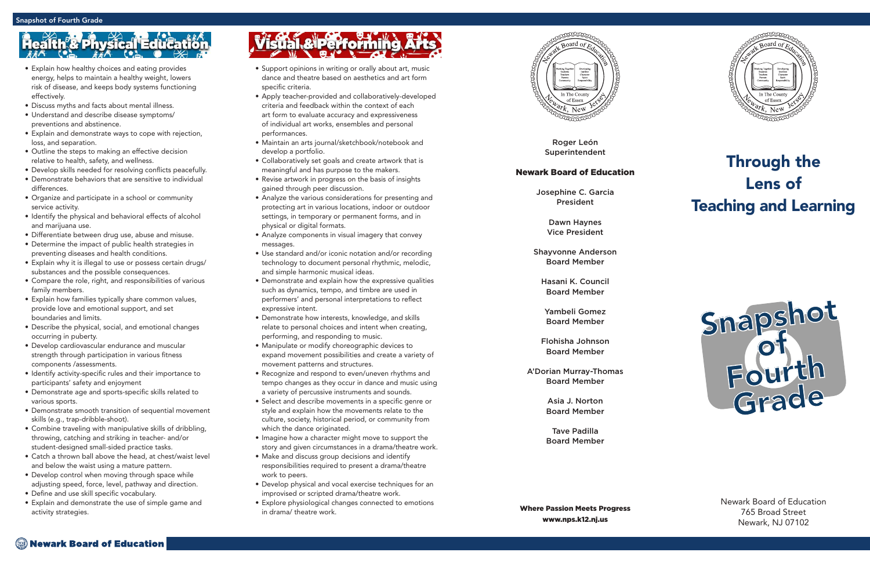Roger León Superintendent

#### Newark Board of Education

Josephine C. Garcia President

> Dawn Haynes Vice President

Shayvonne Anderson Board Member

Hasani K. Council Board Member

Yambeli Gomez Board Member

Flohisha Johnson Board Member

A'Dorian Murray-Thomas Board Member

> Asia J. Norton Board Member

> Tave Padilla Board Member

Where Passion Meets Progress www.nps.k12.nj.us



### Through the Lens of Teaching and Learning

Newark Board of Education 765 Broad Street Newark, NJ 07102

- Support opinions in writing or orally about art, music dance and theatre based on aesthetics and art form specific criteria.
- Apply teacher-provided and collaboratively-developed criteria and feedback within the context of each art form to evaluate accuracy and expressiveness of individual art works, ensembles and personal performances.
- Maintain an arts journal/sketchbook/notebook and develop a portfolio.
- Collaboratively set goals and create artwork that is meaningful and has purpose to the makers.
- Revise artwork in progress on the basis of insights gained through peer discussion.
- Analyze the various considerations for presenting and protecting art in various locations, indoor or outdoor settings, in temporary or permanent forms, and in physical or digital formats.
- Analyze components in visual imagery that convey messages.
- Use standard and/or iconic notation and/or recording technology to document personal rhythmic, melodic, and simple harmonic musical ideas.
- Demonstrate and explain how the expressive qualities such as dynamics, tempo, and timbre are used in performers' and personal interpretations to reflect expressive intent.
- Demonstrate how interests, knowledge, and skills relate to personal choices and intent when creating, performing, and responding to music.
- Manipulate or modify choreographic devices to expand movement possibilities and create a variety of movement patterns and structures.
- Recognize and respond to even/uneven rhythms and tempo changes as they occur in dance and music using a variety of percussive instruments and sounds.
- Select and describe movements in a specific genre or style and explain how the movements relate to the culture, society, historical period, or community from which the dance originated.
- Imagine how a character might move to support the story and given circumstances in a drama/theatre work.
- Make and discuss group decisions and identify responsibilities required to present a drama/theatre work to peers.
- Develop physical and vocal exercise techniques for an improvised or scripted drama/theatre work.
- Explore physiological changes connected to emotions in drama/ theatre work.



## **th<sup>o</sup>& Physical Educa**

- Explain how healthy choices and eating provides energy, helps to maintain a healthy weight, lowers risk of disease, and keeps body systems functioning effectively.
- Discuss myths and facts about mental illness.
- Understand and describe disease symptoms/ preventions and abstinence.
- Explain and demonstrate ways to cope with rejection, loss, and separation.
- Outline the steps to making an effective decision relative to health, safety, and wellness.
- Develop skills needed for resolving conflicts peacefully.
- Demonstrate behaviors that are sensitive to individual differences.
- Organize and participate in a school or community service activity.
- Identify the physical and behavioral effects of alcohol and marijuana use.
- Differentiate between drug use, abuse and misuse.
- Determine the impact of public health strategies in preventing diseases and health conditions.
- Explain why it is illegal to use or possess certain drugs/ substances and the possible consequences.
- Compare the role, right, and responsibilities of various family members.
- Explain how families typically share common values, provide love and emotional support, and set boundaries and limits.
- Describe the physical, social, and emotional changes occurring in puberty.
- Develop cardiovascular endurance and muscular strength through participation in various fitness components /assessments.
- Identify activity-specific rules and their importance to participants' safety and enjoyment
- Demonstrate age and sports-specific skills related to various sports.
- Demonstrate smooth transition of sequential movement skills (e.g., trap-dribble-shoot).
- Combine traveling with manipulative skills of dribbling, throwing, catching and striking in teacher- and/or student-designed small-sided practice tasks.
- Catch a thrown ball above the head, at chest/waist level and below the waist using a mature pattern.
- Develop control when moving through space while adjusting speed, force, level, pathway and direction.
- Define and use skill specific vocabulary.
- Explain and demonstrate the use of simple game and activity strategies.

# Visual & Performing